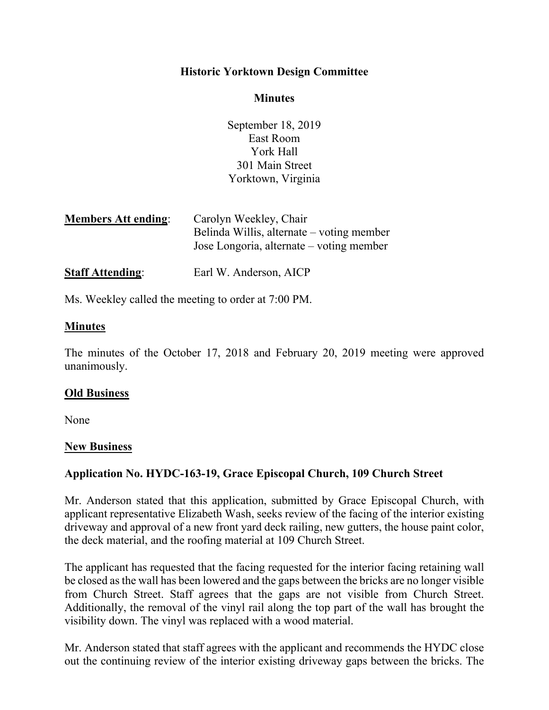## **Historic Yorktown Design Committee**

#### **Minutes**

September 18, 2019 East Room York Hall 301 Main Street Yorktown, Virginia

| <b>Members Att ending:</b> | Carolyn Weekley, Chair                                                                |
|----------------------------|---------------------------------------------------------------------------------------|
|                            | Belinda Willis, alternate – voting member<br>Jose Longoria, alternate – voting member |
| <b>Staff Attending:</b>    | Earl W. Anderson, AICP                                                                |

Ms. Weekley called the meeting to order at 7:00 PM.

### **Minutes**

The minutes of the October 17, 2018 and February 20, 2019 meeting were approved unanimously.

#### **Old Business**

None

#### **New Business**

## **Application No. HYDC-163-19, Grace Episcopal Church, 109 Church Street**

Mr. Anderson stated that this application, submitted by Grace Episcopal Church, with applicant representative Elizabeth Wash, seeks review of the facing of the interior existing driveway and approval of a new front yard deck railing, new gutters, the house paint color, the deck material, and the roofing material at 109 Church Street.

The applicant has requested that the facing requested for the interior facing retaining wall be closed as the wall has been lowered and the gaps between the bricks are no longer visible from Church Street. Staff agrees that the gaps are not visible from Church Street. Additionally, the removal of the vinyl rail along the top part of the wall has brought the visibility down. The vinyl was replaced with a wood material.

Mr. Anderson stated that staff agrees with the applicant and recommends the HYDC close out the continuing review of the interior existing driveway gaps between the bricks. The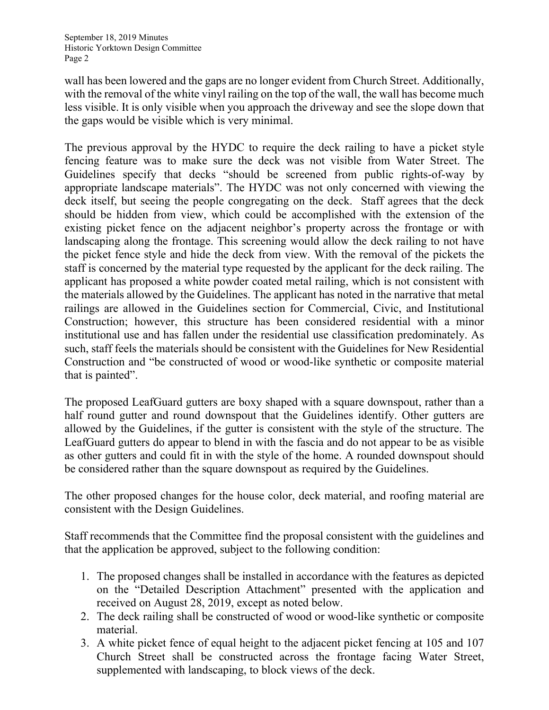less visible. It is only visible when you approach the driveway and see the slope down that wall has been lowered and the gaps are no longer evident from Church Street. Additionally, with the removal of the white vinyl railing on the top of the wall, the wall has become much the gaps would be visible which is very minimal.

 landscaping along the frontage. This screening would allow the deck railing to not have the picket fence style and hide the deck from view. With the removal of the pickets the applicant has proposed a white powder coated metal railing, which is not consistent with The previous approval by the HYDC to require the deck railing to have a picket style fencing feature was to make sure the deck was not visible from Water Street. The Guidelines specify that decks "should be screened from public rights-of-way by appropriate landscape materials". The HYDC was not only concerned with viewing the deck itself, but seeing the people congregating on the deck. Staff agrees that the deck should be hidden from view, which could be accomplished with the extension of the existing picket fence on the adjacent neighbor's property across the frontage or with staff is concerned by the material type requested by the applicant for the deck railing. The the materials allowed by the Guidelines. The applicant has noted in the narrative that metal railings are allowed in the Guidelines section for Commercial, Civic, and Institutional Construction; however, this structure has been considered residential with a minor institutional use and has fallen under the residential use classification predominately. As such, staff feels the materials should be consistent with the Guidelines for New Residential Construction and "be constructed of wood or wood-like synthetic or composite material that is painted".

The proposed LeafGuard gutters are boxy shaped with a square downspout, rather than a half round gutter and round downspout that the Guidelines identify. Other gutters are allowed by the Guidelines, if the gutter is consistent with the style of the structure. The LeafGuard gutters do appear to blend in with the fascia and do not appear to be as visible as other gutters and could fit in with the style of the home. A rounded downspout should be considered rather than the square downspout as required by the Guidelines.

The other proposed changes for the house color, deck material, and roofing material are consistent with the Design Guidelines.

Staff recommends that the Committee find the proposal consistent with the guidelines and that the application be approved, subject to the following condition:

- on the "Detailed Description Attachment" presented with the application and 1. The proposed changes shall be installed in accordance with the features as depicted received on August 28, 2019, except as noted below.
- 2. The deck railing shall be constructed of wood or wood-like synthetic or composite material.
- 3. A white picket fence of equal height to the adjacent picket fencing at 105 and 107 Church Street shall be constructed across the frontage facing Water Street, supplemented with landscaping, to block views of the deck.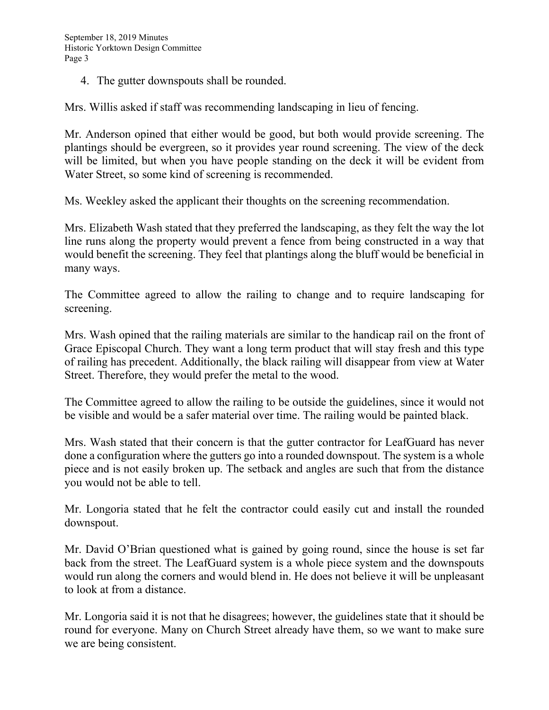4. The gutter downspouts shall be rounded.

Mrs. Willis asked if staff was recommending landscaping in lieu of fencing.

Mr. Anderson opined that either would be good, but both would provide screening. The plantings should be evergreen, so it provides year round screening. The view of the deck will be limited, but when you have people standing on the deck it will be evident from Water Street, so some kind of screening is recommended.

Ms. Weekley asked the applicant their thoughts on the screening recommendation.

 line runs along the property would prevent a fence from being constructed in a way that Mrs. Elizabeth Wash stated that they preferred the landscaping, as they felt the way the lot would benefit the screening. They feel that plantings along the bluff would be beneficial in many ways.

The Committee agreed to allow the railing to change and to require landscaping for screening.

Mrs. Wash opined that the railing materials are similar to the handicap rail on the front of Grace Episcopal Church. They want a long term product that will stay fresh and this type of railing has precedent. Additionally, the black railing will disappear from view at Water Street. Therefore, they would prefer the metal to the wood.

The Committee agreed to allow the railing to be outside the guidelines, since it would not be visible and would be a safer material over time. The railing would be painted black.

 done a configuration where the gutters go into a rounded downspout. The system is a whole Mrs. Wash stated that their concern is that the gutter contractor for LeafGuard has never piece and is not easily broken up. The setback and angles are such that from the distance you would not be able to tell.

 downspout. Mr. Longoria stated that he felt the contractor could easily cut and install the rounded

 Mr. David O'Brian questioned what is gained by going round, since the house is set far back from the street. The LeafGuard system is a whole piece system and the downspouts would run along the corners and would blend in. He does not believe it will be unpleasant to look at from a distance.

 round for everyone. Many on Church Street already have them, so we want to make sure Mr. Longoria said it is not that he disagrees; however, the guidelines state that it should be we are being consistent.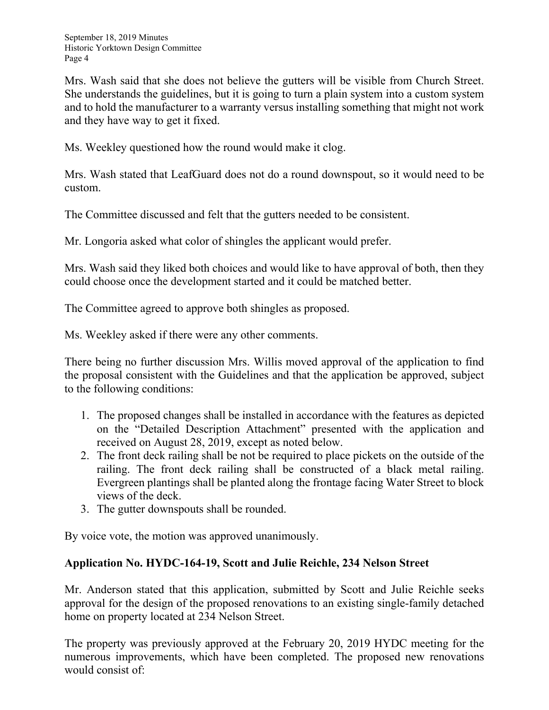Mrs. Wash said that she does not believe the gutters will be visible from Church Street. She understands the guidelines, but it is going to turn a plain system into a custom system and to hold the manufacturer to a warranty versus installing something that might not work and they have way to get it fixed.

Ms. Weekley questioned how the round would make it clog.

Mrs. Wash stated that LeafGuard does not do a round downspout, so it would need to be custom.

The Committee discussed and felt that the gutters needed to be consistent.

Mr. Longoria asked what color of shingles the applicant would prefer.

Mrs. Wash said they liked both choices and would like to have approval of both, then they could choose once the development started and it could be matched better.

The Committee agreed to approve both shingles as proposed.

Ms. Weekley asked if there were any other comments.

There being no further discussion Mrs. Willis moved approval of the application to find the proposal consistent with the Guidelines and that the application be approved, subject to the following conditions:

- on the "Detailed Description Attachment" presented with the application and 1. The proposed changes shall be installed in accordance with the features as depicted received on August 28, 2019, except as noted below.
- 2. The front deck railing shall be not be required to place pickets on the outside of the railing. The front deck railing shall be constructed of a black metal railing. Evergreen plantings shall be planted along the frontage facing Water Street to block views of the deck.
- 3. The gutter downspouts shall be rounded.

By voice vote, the motion was approved unanimously.

## **Application No. HYDC-164-19, Scott and Julie Reichle, 234 Nelson Street**

Mr. Anderson stated that this application, submitted by Scott and Julie Reichle seeks approval for the design of the proposed renovations to an existing single-family detached home on property located at 234 Nelson Street.

The property was previously approved at the February 20, 2019 HYDC meeting for the numerous improvements, which have been completed. The proposed new renovations would consist of: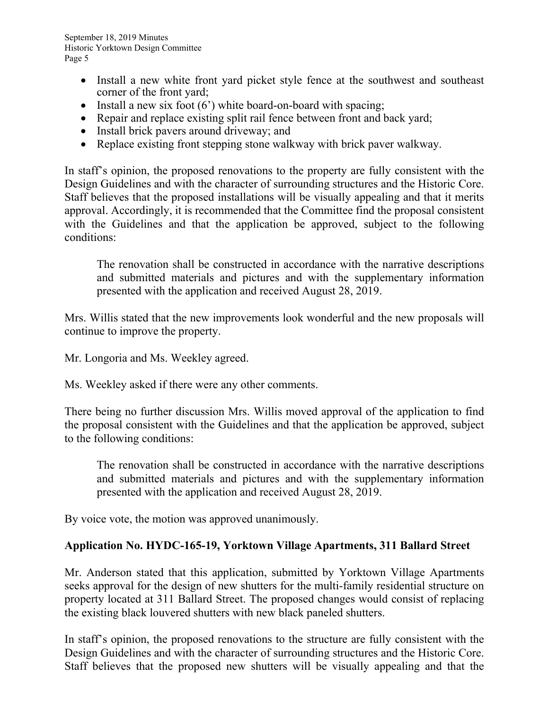- Install a new white front yard picket style fence at the southwest and southeast corner of the front yard;
- Install a new six foot  $(6')$  white board-on-board with spacing;
- Repair and replace existing split rail fence between front and back yard;
- Install brick pavers around driveway; and
- Replace existing front stepping stone walkway with brick paver walkway.

 Design Guidelines and with the character of surrounding structures and the Historic Core. In staff's opinion, the proposed renovations to the property are fully consistent with the Staff believes that the proposed installations will be visually appealing and that it merits approval. Accordingly, it is recommended that the Committee find the proposal consistent with the Guidelines and that the application be approved, subject to the following conditions:

The renovation shall be constructed in accordance with the narrative descriptions and submitted materials and pictures and with the supplementary information presented with the application and received August 28, 2019.

Mrs. Willis stated that the new improvements look wonderful and the new proposals will continue to improve the property.

Mr. Longoria and Ms. Weekley agreed.

Ms. Weekley asked if there were any other comments.

There being no further discussion Mrs. Willis moved approval of the application to find the proposal consistent with the Guidelines and that the application be approved, subject to the following conditions:

The renovation shall be constructed in accordance with the narrative descriptions and submitted materials and pictures and with the supplementary information presented with the application and received August 28, 2019.

By voice vote, the motion was approved unanimously.

## **Application No. HYDC-165-19, Yorktown Village Apartments, 311 Ballard Street**

Mr. Anderson stated that this application, submitted by Yorktown Village Apartments seeks approval for the design of new shutters for the multi-family residential structure on property located at 311 Ballard Street. The proposed changes would consist of replacing the existing black louvered shutters with new black paneled shutters.

 Design Guidelines and with the character of surrounding structures and the Historic Core. In staff's opinion, the proposed renovations to the structure are fully consistent with the Staff believes that the proposed new shutters will be visually appealing and that the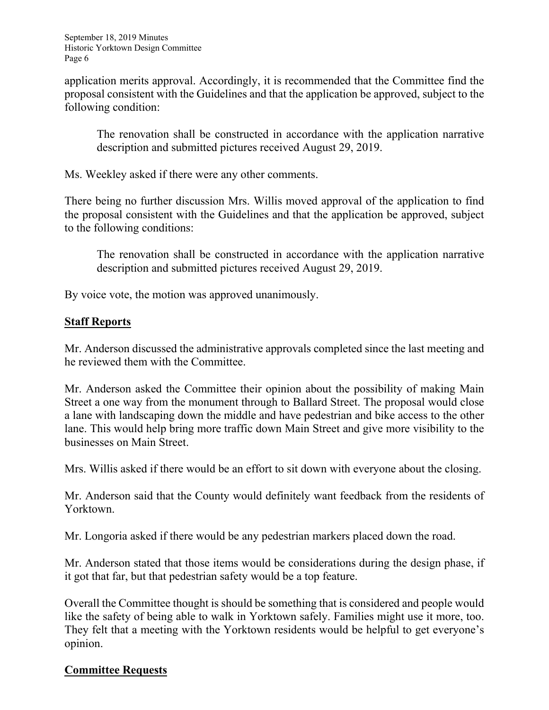application merits approval. Accordingly, it is recommended that the Committee find the proposal consistent with the Guidelines and that the application be approved, subject to the following condition:

The renovation shall be constructed in accordance with the application narrative description and submitted pictures received August 29, 2019.

Ms. Weekley asked if there were any other comments.

There being no further discussion Mrs. Willis moved approval of the application to find the proposal consistent with the Guidelines and that the application be approved, subject to the following conditions:

The renovation shall be constructed in accordance with the application narrative description and submitted pictures received August 29, 2019.

By voice vote, the motion was approved unanimously.

# **Staff Reports**

Mr. Anderson discussed the administrative approvals completed since the last meeting and he reviewed them with the Committee.

 Mr. Anderson asked the Committee their opinion about the possibility of making Main a lane with landscaping down the middle and have pedestrian and bike access to the other Street a one way from the monument through to Ballard Street. The proposal would close lane. This would help bring more traffic down Main Street and give more visibility to the businesses on Main Street.

Mrs. Willis asked if there would be an effort to sit down with everyone about the closing.

Mr. Anderson said that the County would definitely want feedback from the residents of Yorktown.

Mr. Longoria asked if there would be any pedestrian markers placed down the road.

Mr. Anderson stated that those items would be considerations during the design phase, if it got that far, but that pedestrian safety would be a top feature.

Overall the Committee thought is should be something that is considered and people would like the safety of being able to walk in Yorktown safely. Families might use it more, too. They felt that a meeting with the Yorktown residents would be helpful to get everyone's opinion.

## **Committee Requests**